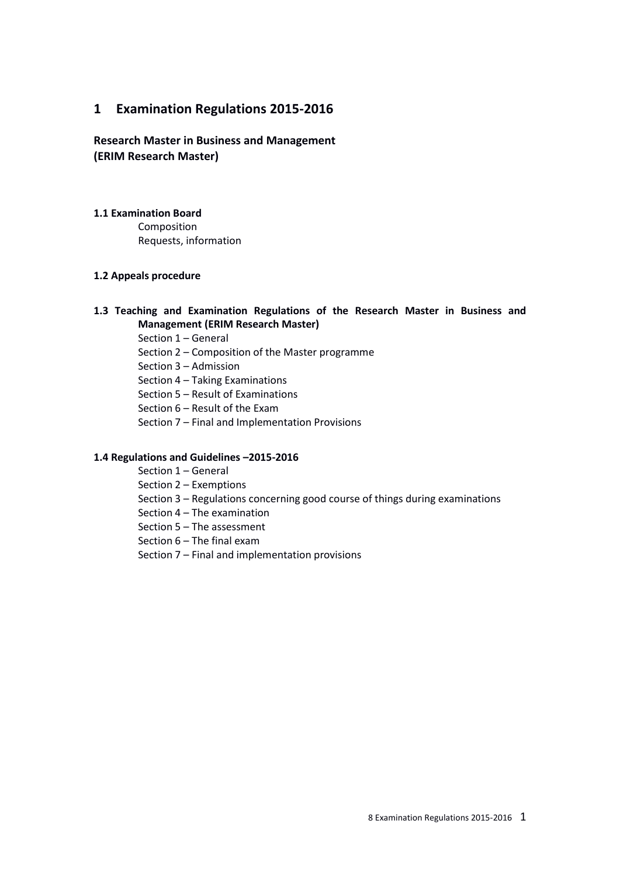# **1 Examination Regulations 2015-2016**

**Research Master in Business and Management (ERIM Research Master)**

# **1.1 Examination Board**

Composition Requests, information

# **1.2 Appeals procedure**

# **1.3 Teaching and Examination Regulations of the Research Master in Business and Management (ERIM Research Master)**

Section 1 – General

- Section 2 Composition of the Master programme
- Section 3 Admission
- Section 4 Taking Examinations
- Section 5 Result of Examinations
- Section 6 Result of the Exam
- Section 7 Final and Implementation Provisions

#### **1.4 Regulations and Guidelines –2015-2016**

Section 1 – General

Section 2 – Exemptions

- Section 3 Regulations concerning good course of things during examinations
- Section 4 The examination
- Section 5 The assessment
- Section 6 The final exam
- Section 7 Final and implementation provisions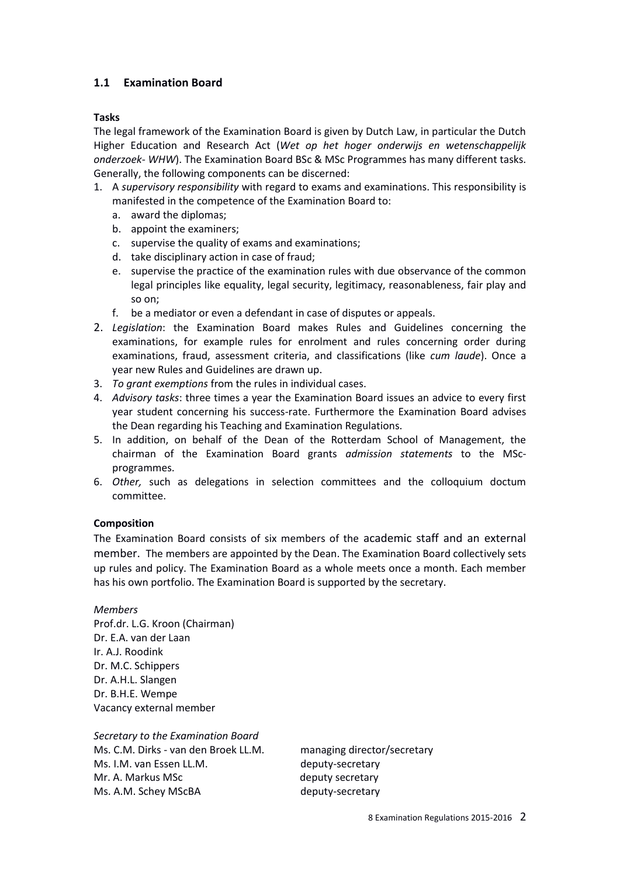# **1.1 Examination Board**

### **Tasks**

The legal framework of the Examination Board is given by Dutch Law, in particular the Dutch Higher Education and Research Act (*Wet op het hoger onderwijs en wetenschappelijk onderzoek- WHW*). The Examination Board BSc & MSc Programmes has many different tasks. Generally, the following components can be discerned:

- 1. A *supervisory responsibility* with regard to exams and examinations. This responsibility is manifested in the competence of the Examination Board to:
	- a. award the diplomas;
	- b. appoint the examiners;
	- c. supervise the quality of exams and examinations;
	- d. take disciplinary action in case of fraud;
	- e. supervise the practice of the examination rules with due observance of the common legal principles like equality, legal security, legitimacy, reasonableness, fair play and so on;
	- f. be a mediator or even a defendant in case of disputes or appeals.
- 2. *Legislation*: the Examination Board makes Rules and Guidelines concerning the examinations, for example rules for enrolment and rules concerning order during examinations, fraud, assessment criteria, and classifications (like *cum laude*). Once a year new Rules and Guidelines are drawn up.
- 3. *To grant exemptions* from the rules in individual cases.
- 4. *Advisory tasks*: three times a year the Examination Board issues an advice to every first year student concerning his success-rate. Furthermore the Examination Board advises the Dean regarding his Teaching and Examination Regulations.
- 5. In addition, on behalf of the Dean of the Rotterdam School of Management, the chairman of the Examination Board grants *admission statements* to the MScprogrammes.
- 6. *Other,* such as delegations in selection committees and the colloquium doctum committee.

#### **Composition**

The Examination Board consists of six members of the academic staff and an external member. The members are appointed by the Dean. The Examination Board collectively sets up rules and policy. The Examination Board as a whole meets once a month. Each member has his own portfolio. The Examination Board is supported by the secretary.

*Members* Prof.dr. L.G. Kroon (Chairman) Dr. E.A. van der Laan Ir. A.J. Roodink Dr. M.C. Schippers Dr. A.H.L. Slangen Dr. B.H.E. Wempe Vacancy external member

*Secretary to the Examination Board* Ms. C.M. Dirks - van den Broek LL.M. managing director/secretary Ms. I.M. van Essen LL.M. deputy-secretary Mr. A. Markus MSc deputy secretary Ms. A.M. Schey MScBA deputy-secretary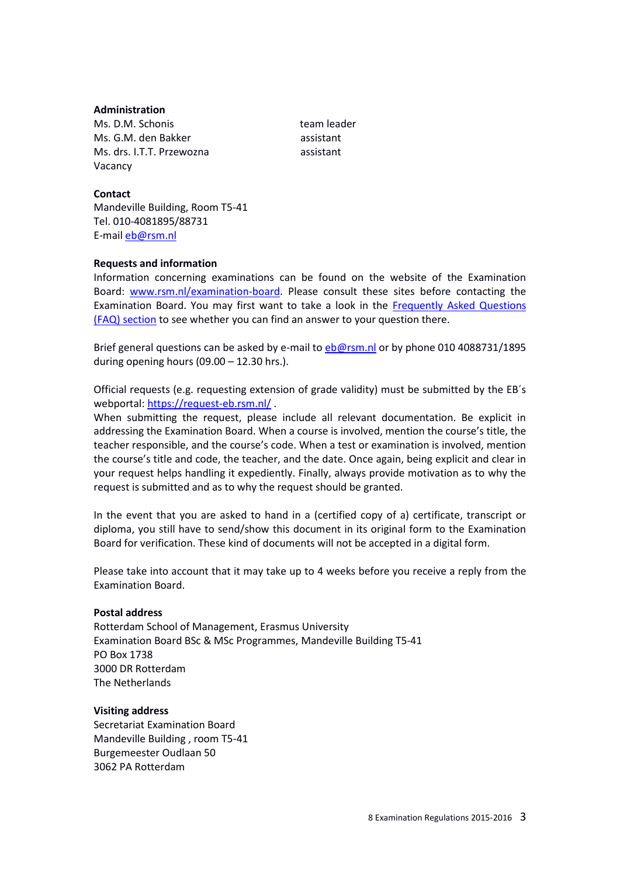#### **Administration**

Ms. D.M. Schonis team leader Ms. G.M. den Bakker assistant Ms. drs. I.T.T. Przewozna assistant Vacancy

#### **Contact**

Mandeville Building, Room T5-41 Tel. 010-4081895/88731 E-mai[l eb@rsm.nl](mailto:eb@rsm.nl)

#### **Requests and information**

Information concerning examinations can be found on the website of the Examination Board: [www.rsm.nl/examination-board.](http://www.rsm.nl/examination-board) Please consult these sites before contacting the Examination Board. You may first want to take a look in the [Frequently Asked Questions](http://www.rsm.nl/examination-board/frequently-asked-questions-faqs/)  [\(FAQ\) section](http://www.rsm.nl/examination-board/frequently-asked-questions-faqs/) to see whether you can find an answer to your question there.

Brief general questions can be asked by e-mail to [eb@rsm.nl](mailto:eb@rsm.nl) or by phone 010 4088731/1895 during opening hours  $(09.00 - 12.30$  hrs.).

Official requests (e.g. requesting extension of grade validity) must be submitted by the EB´s webportal[: https://request-eb.rsm.nl/](https://request-eb.rsm.nl/).

When submitting the request, please include all relevant documentation. Be explicit in addressing the Examination Board. When a course is involved, mention the course's title, the teacher responsible, and the course's code. When a test or examination is involved, mention the course's title and code, the teacher, and the date. Once again, being explicit and clear in your request helps handling it expediently. Finally, always provide motivation as to why the request is submitted and as to why the request should be granted.

In the event that you are asked to hand in a (certified copy of a) certificate, transcript or diploma, you still have to send/show this document in its original form to the Examination Board for verification. These kind of documents will not be accepted in a digital form.

Please take into account that it may take up to 4 weeks before you receive a reply from the Examination Board.

#### **Postal address**

Rotterdam School of Management, Erasmus University Examination Board BSc & MSc Programmes, Mandeville Building T5-41 PO Box 1738 3000 DR Rotterdam The Netherlands

### **Visiting address**

Secretariat Examination Board Mandeville Building , room T5-41 Burgemeester Oudlaan 50 3062 PA Rotterdam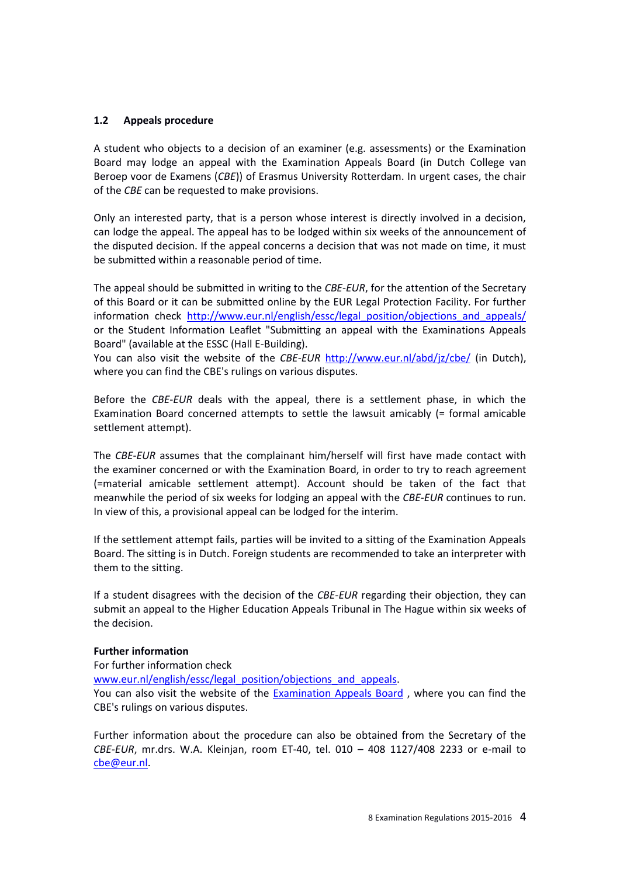### **1.2 Appeals procedure**

A student who objects to a decision of an examiner (e.g. assessments) or the Examination Board may lodge an appeal with the Examination Appeals Board (in Dutch College van Beroep voor de Examens (*CBE*)) of Erasmus University Rotterdam. In urgent cases, the chair of the *CBE* can be requested to make provisions.

Only an interested party, that is a person whose interest is directly involved in a decision, can lodge the appeal. The appeal has to be lodged within six weeks of the announcement of the disputed decision. If the appeal concerns a decision that was not made on time, it must be submitted within a reasonable period of time.

The appeal should be submitted in writing to the *CBE*-*EUR*, for the attention of the Secretary of this Board or it can be submitted online by the EUR Legal Protection Facility. For further information check [http://www.eur.nl/english/essc/legal\\_position/objections\\_and\\_appeals/](http://www.eur.nl/english/essc/legal_position/objections_and_appeals/) or the Student Information Leaflet "Submitting an appeal with the Examinations Appeals Board" (available at the ESSC (Hall E-Building).

You can also visit the website of the *CBE-EUR* <http://www.eur.nl/abd/jz/cbe/> (in Dutch), where you can find the CBE's rulings on various disputes.

Before the *CBE*-*EUR* deals with the appeal, there is a settlement phase, in which the Examination Board concerned attempts to settle the lawsuit amicably (= formal amicable settlement attempt).

The *CBE*-*EUR* assumes that the complainant him/herself will first have made contact with the examiner concerned or with the Examination Board, in order to try to reach agreement (=material amicable settlement attempt). Account should be taken of the fact that meanwhile the period of six weeks for lodging an appeal with the *CBE*-*EUR* continues to run. In view of this, a provisional appeal can be lodged for the interim.

If the settlement attempt fails, parties will be invited to a sitting of the Examination Appeals Board. The sitting is in Dutch. Foreign students are recommended to take an interpreter with them to the sitting.

If a student disagrees with the decision of the *CBE-EUR* regarding their objection, they can submit an appeal to the Higher Education Appeals Tribunal in The Hague within six weeks of the decision.

#### **Further information**

For further information check

[www.eur.nl/english/essc/legal\\_position/objections\\_and\\_appeals.](http://www.eur.nl/english/essc/legal_position/objections_and_appeals)

You can also visit the website of the [Examination Appeals Board](http://www.eur.nl/english/essc/legal_position/appeal_examinations_board/) , where you can find the CBE's rulings on various disputes.

Further information about the procedure can also be obtained from the Secretary of the *CBE-EUR*, mr.drs. W.A. Kleinjan, room ET-40, tel. 010 – 408 1127/408 2233 or e-mail to [cbe@eur.nl.](mailto:cbe@eur.nl)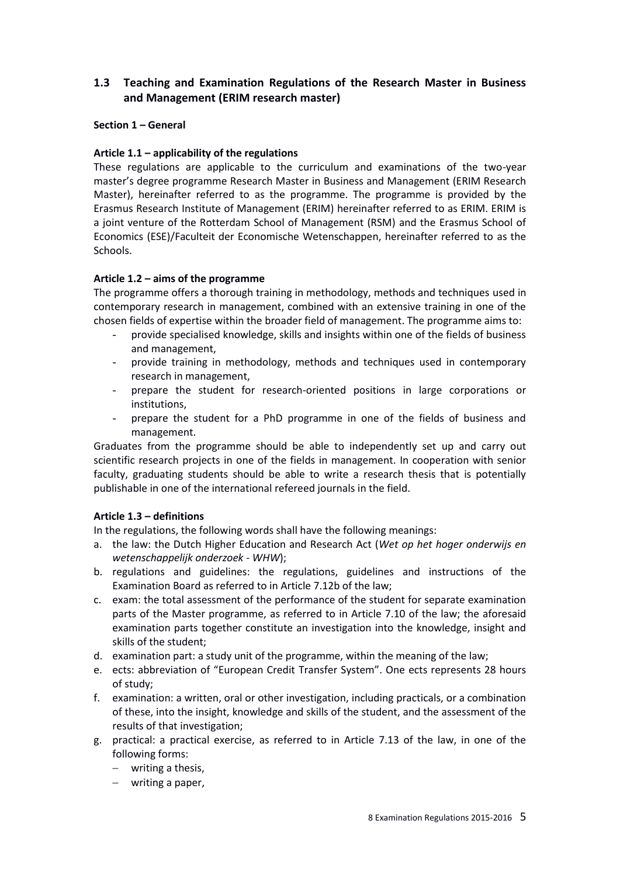# **1.3 Teaching and Examination Regulations of the Research Master in Business and Management (ERIM research master)**

# **Section 1 – General**

# **Article 1.1 – applicability of the regulations**

These regulations are applicable to the curriculum and examinations of the two-year master's degree programme Research Master in Business and Management (ERIM Research Master), hereinafter referred to as the programme. The programme is provided by the Erasmus Research Institute of Management (ERIM) hereinafter referred to as ERIM. ERIM is a joint venture of the Rotterdam School of Management (RSM) and the Erasmus School of Economics (ESE)/Faculteit der Economische Wetenschappen, hereinafter referred to as the Schools.

# **Article 1.2 – aims of the programme**

The programme offers a thorough training in methodology, methods and techniques used in contemporary research in management, combined with an extensive training in one of the chosen fields of expertise within the broader field of management. The programme aims to:

- provide specialised knowledge, skills and insights within one of the fields of business and management,
- provide training in methodology, methods and techniques used in contemporary research in management,
- prepare the student for research-oriented positions in large corporations or institutions,
- prepare the student for a PhD programme in one of the fields of business and management.

Graduates from the programme should be able to independently set up and carry out scientific research projects in one of the fields in management. In cooperation with senior faculty, graduating students should be able to write a research thesis that is potentially publishable in one of the international refereed journals in the field.

#### **Article 1.3 – definitions**

In the regulations, the following words shall have the following meanings:

- a. the law: the Dutch Higher Education and Research Act (*Wet op het hoger onderwijs en wetenschappelijk onderzoek* - *WHW*);
- b. regulations and guidelines: the regulations, guidelines and instructions of the Examination Board as referred to in Article 7.12b of the law;
- c. exam: the total assessment of the performance of the student for separate examination parts of the Master programme, as referred to in Article 7.10 of the law; the aforesaid examination parts together constitute an investigation into the knowledge, insight and skills of the student;
- d. examination part: a study unit of the programme, within the meaning of the law;
- e. ects: abbreviation of "European Credit Transfer System". One ects represents 28 hours of study;
- f. examination: a written, oral or other investigation, including practicals, or a combination of these, into the insight, knowledge and skills of the student, and the assessment of the results of that investigation;
- g. practical: a practical exercise, as referred to in Article 7.13 of the law, in one of the following forms:
	- writing a thesis,
	- writing a paper,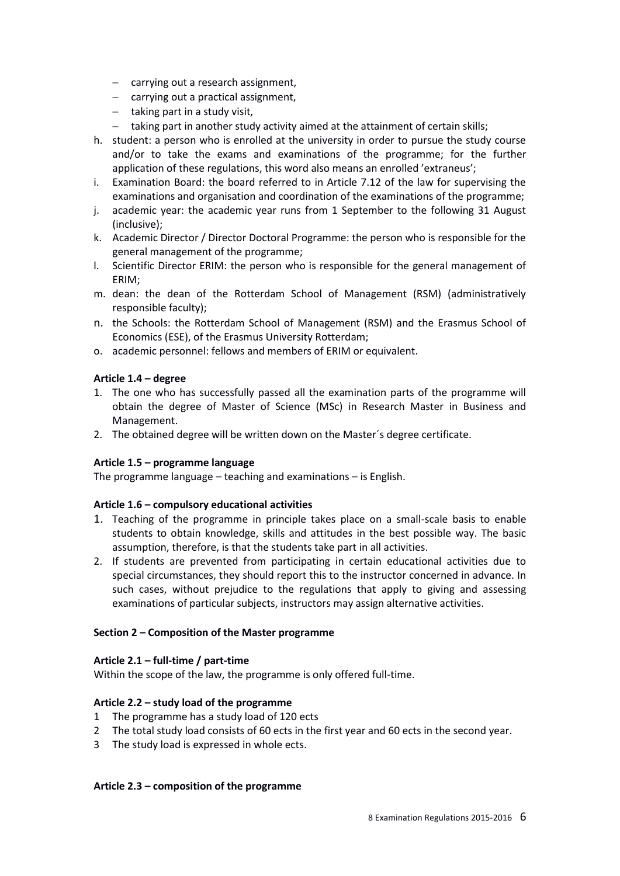- $-$  carrying out a research assignment,
- carrying out a practical assignment,
- $-$  taking part in a study visit,
- taking part in another study activity aimed at the attainment of certain skills;
- h. student: a person who is enrolled at the university in order to pursue the study course and/or to take the exams and examinations of the programme; for the further application of these regulations, this word also means an enrolled 'extraneus';
- i. Examination Board: the board referred to in Article 7.12 of the law for supervising the examinations and organisation and coordination of the examinations of the programme;
- j. academic year: the academic year runs from 1 September to the following 31 August (inclusive);
- k. Academic Director / Director Doctoral Programme: the person who is responsible for the general management of the programme;
- l. Scientific Director ERIM: the person who is responsible for the general management of ERIM;
- m. dean: the dean of the Rotterdam School of Management (RSM) (administratively responsible faculty);
- n. the Schools: the Rotterdam School of Management (RSM) and the Erasmus School of Economics (ESE), of the Erasmus University Rotterdam;
- o. academic personnel: fellows and members of ERIM or equivalent.

#### **Article 1.4 – degree**

- 1. The one who has successfully passed all the examination parts of the programme will obtain the degree of Master of Science (MSc) in Research Master in Business and Management.
- 2. The obtained degree will be written down on the Master´s degree certificate.

#### **Article 1.5 – programme language**

The programme language – teaching and examinations – is English.

#### **Article 1.6 – compulsory educational activities**

- 1. Teaching of the programme in principle takes place on a small-scale basis to enable students to obtain knowledge, skills and attitudes in the best possible way. The basic assumption, therefore, is that the students take part in all activities.
- 2. If students are prevented from participating in certain educational activities due to special circumstances, they should report this to the instructor concerned in advance. In such cases, without prejudice to the regulations that apply to giving and assessing examinations of particular subjects, instructors may assign alternative activities.

#### **Section 2 – Composition of the Master programme**

#### **Article 2.1 – full-time / part-time**

Within the scope of the law, the programme is only offered full-time.

#### **Article 2.2 – study load of the programme**

- 1 The programme has a study load of 120 ects
- 2 The total study load consists of 60 ects in the first year and 60 ects in the second year.
- 3 The study load is expressed in whole ects.

#### **Article 2.3 – composition of the programme**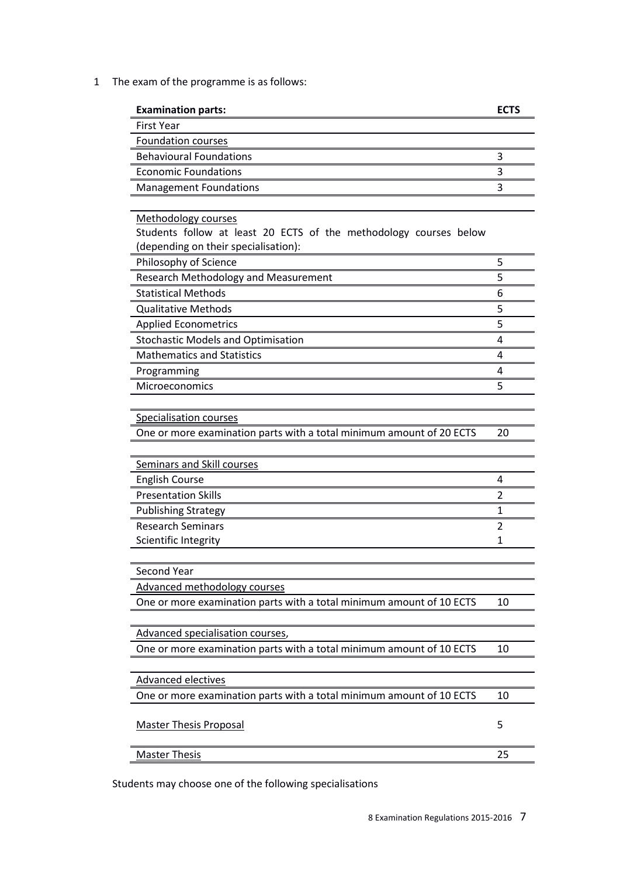1 The exam of the programme is as follows:

| <b>Examination parts:</b>                                            | <b>ECTS</b>    |
|----------------------------------------------------------------------|----------------|
| <b>First Year</b>                                                    |                |
| <b>Foundation courses</b>                                            |                |
| <b>Behavioural Foundations</b>                                       | 3              |
| <b>Economic Foundations</b>                                          | 3              |
| <b>Management Foundations</b>                                        | 3              |
|                                                                      |                |
| Methodology courses                                                  |                |
| Students follow at least 20 ECTS of the methodology courses below    |                |
| (depending on their specialisation):                                 |                |
| Philosophy of Science                                                | 5              |
| Research Methodology and Measurement                                 | 5              |
| <b>Statistical Methods</b>                                           | 6              |
| <b>Qualitative Methods</b>                                           | 5              |
| <b>Applied Econometrics</b>                                          | 5              |
| <b>Stochastic Models and Optimisation</b>                            | 4              |
| <b>Mathematics and Statistics</b>                                    | 4              |
| Programming                                                          | 4              |
| Microeconomics                                                       | 5              |
|                                                                      |                |
| <b>Specialisation courses</b>                                        |                |
| One or more examination parts with a total minimum amount of 20 ECTS | 20             |
|                                                                      |                |
| Seminars and Skill courses                                           |                |
| <b>English Course</b>                                                | 4              |
| <b>Presentation Skills</b>                                           | 2              |
| <b>Publishing Strategy</b>                                           | 1              |
| <b>Research Seminars</b>                                             | $\overline{2}$ |
| Scientific Integrity                                                 | 1              |
|                                                                      |                |
| <b>Second Year</b>                                                   |                |
| Advanced methodology courses                                         |                |
| One or more examination parts with a total minimum amount of 10 ECTS | 10             |
|                                                                      |                |
| Advanced specialisation courses,                                     |                |
| One or more examination parts with a total minimum amount of 10 ECTS | 10             |
|                                                                      |                |
| <b>Advanced electives</b>                                            |                |
| One or more examination parts with a total minimum amount of 10 ECTS | 10             |
|                                                                      |                |
| <b>Master Thesis Proposal</b>                                        | 5              |
|                                                                      | 25             |
| <b>Master Thesis</b>                                                 |                |

Students may choose one of the following specialisations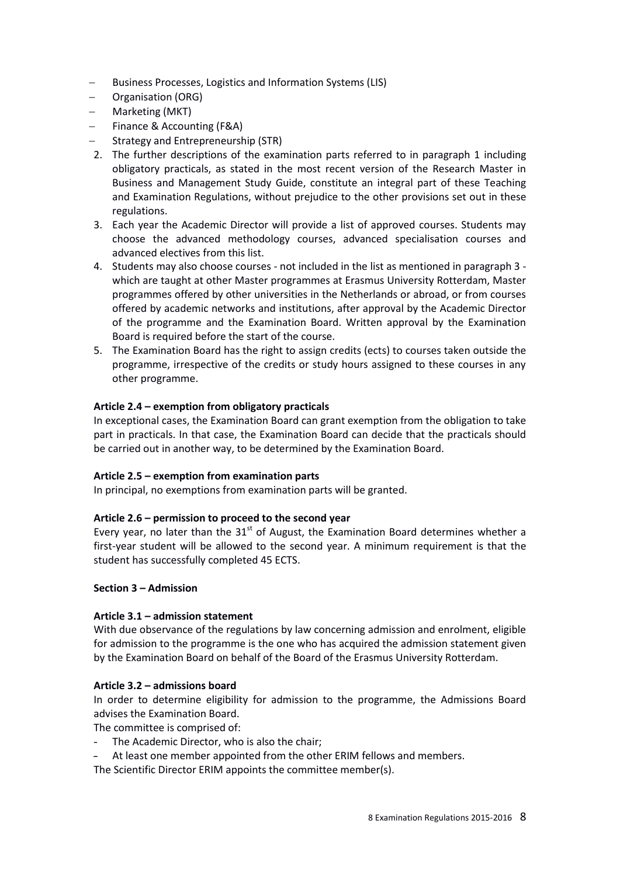- Business Processes, Logistics and Information Systems (LIS)
- Organisation (ORG)
- Marketing (MKT)
- Finance & Accounting (F&A)
- Strategy and Entrepreneurship (STR)
- 2. The further descriptions of the examination parts referred to in paragraph 1 including obligatory practicals, as stated in the most recent version of the Research Master in Business and Management Study Guide, constitute an integral part of these Teaching and Examination Regulations, without prejudice to the other provisions set out in these regulations.
- 3. Each year the Academic Director will provide a list of approved courses. Students may choose the advanced methodology courses, advanced specialisation courses and advanced electives from this list.
- 4. Students may also choose courses not included in the list as mentioned in paragraph 3 which are taught at other Master programmes at Erasmus University Rotterdam, Master programmes offered by other universities in the Netherlands or abroad, or from courses offered by academic networks and institutions, after approval by the Academic Director of the programme and the Examination Board. Written approval by the Examination Board is required before the start of the course.
- 5. The Examination Board has the right to assign credits (ects) to courses taken outside the programme, irrespective of the credits or study hours assigned to these courses in any other programme.

# **Article 2.4 – exemption from obligatory practicals**

In exceptional cases, the Examination Board can grant exemption from the obligation to take part in practicals. In that case, the Examination Board can decide that the practicals should be carried out in another way, to be determined by the Examination Board.

#### **Article 2.5 – exemption from examination parts**

In principal, no exemptions from examination parts will be granted.

# **Article 2.6 – permission to proceed to the second year**

Every year, no later than the  $31<sup>st</sup>$  of August, the Examination Board determines whether a first-year student will be allowed to the second year. A minimum requirement is that the student has successfully completed 45 ECTS.

### **Section 3 – Admission**

#### **Article 3.1 – admission statement**

With due observance of the regulations by law concerning admission and enrolment, eligible for admission to the programme is the one who has acquired the admission statement given by the Examination Board on behalf of the Board of the Erasmus University Rotterdam.

#### **Article 3.2 – admissions board**

In order to determine eligibility for admission to the programme, the Admissions Board advises the Examination Board.

The committee is comprised of:

- The Academic Director, who is also the chair;
- At least one member appointed from the other ERIM fellows and members.

The Scientific Director ERIM appoints the committee member(s).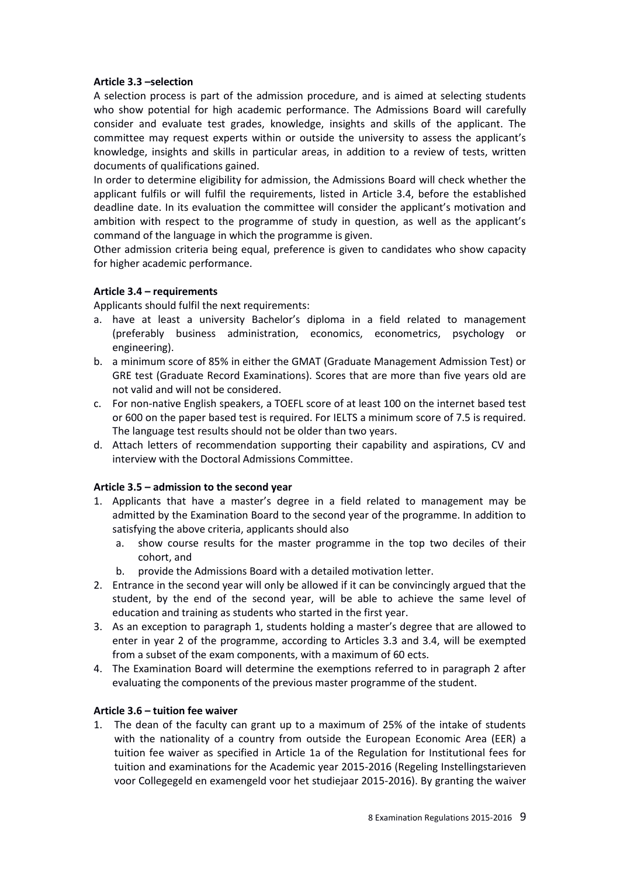### **Article 3.3 –selection**

A selection process is part of the admission procedure, and is aimed at selecting students who show potential for high academic performance. The Admissions Board will carefully consider and evaluate test grades, knowledge, insights and skills of the applicant. The committee may request experts within or outside the university to assess the applicant's knowledge, insights and skills in particular areas, in addition to a review of tests, written documents of qualifications gained.

In order to determine eligibility for admission, the Admissions Board will check whether the applicant fulfils or will fulfil the requirements, listed in Article 3.4, before the established deadline date. In its evaluation the committee will consider the applicant's motivation and ambition with respect to the programme of study in question, as well as the applicant's command of the language in which the programme is given.

Other admission criteria being equal, preference is given to candidates who show capacity for higher academic performance.

# **Article 3.4 – requirements**

Applicants should fulfil the next requirements:

- a. have at least a university Bachelor's diploma in a field related to management (preferably business administration, economics, econometrics, psychology or engineering).
- b. a minimum score of 85% in either the GMAT (Graduate Management Admission Test) or GRE test (Graduate Record Examinations). Scores that are more than five years old are not valid and will not be considered.
- c. For non-native English speakers, a TOEFL score of at least 100 on the internet based test or 600 on the paper based test is required. For IELTS a minimum score of 7.5 is required. The language test results should not be older than two years.
- d. Attach letters of recommendation supporting their capability and aspirations, CV and interview with the Doctoral Admissions Committee.

# **Article 3.5 – admission to the second year**

- 1. Applicants that have a master's degree in a field related to management may be admitted by the Examination Board to the second year of the programme. In addition to satisfying the above criteria, applicants should also
	- a. show course results for the master programme in the top two deciles of their cohort, and
	- b. provide the Admissions Board with a detailed motivation letter.
- 2. Entrance in the second year will only be allowed if it can be convincingly argued that the student, by the end of the second year, will be able to achieve the same level of education and training as students who started in the first year.
- 3. As an exception to paragraph 1, students holding a master's degree that are allowed to enter in year 2 of the programme, according to Articles 3.3 and 3.4, will be exempted from a subset of the exam components, with a maximum of 60 ects.
- 4. The Examination Board will determine the exemptions referred to in paragraph 2 after evaluating the components of the previous master programme of the student.

# **Article 3.6 – tuition fee waiver**

1. The dean of the faculty can grant up to a maximum of 25% of the intake of students with the nationality of a country from outside the European Economic Area (EER) a tuition fee waiver as specified in Article 1a of the Regulation for Institutional fees for tuition and examinations for the Academic year 2015-2016 (Regeling Instellingstarieven voor Collegegeld en examengeld voor het studiejaar 2015-2016). By granting the waiver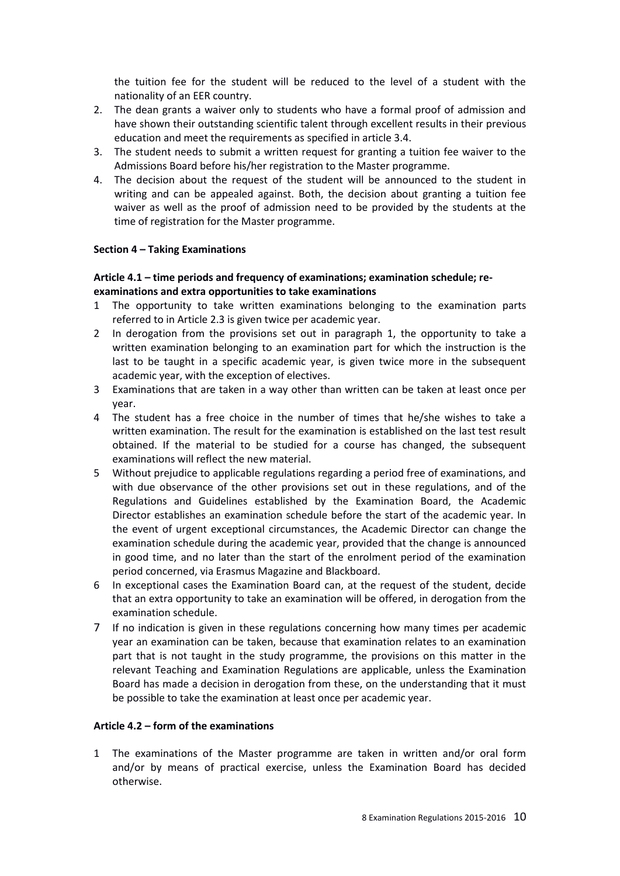the tuition fee for the student will be reduced to the level of a student with the nationality of an EER country.

- 2. The dean grants a waiver only to students who have a formal proof of admission and have shown their outstanding scientific talent through excellent results in their previous education and meet the requirements as specified in article 3.4.
- 3. The student needs to submit a written request for granting a tuition fee waiver to the Admissions Board before his/her registration to the Master programme.
- 4. The decision about the request of the student will be announced to the student in writing and can be appealed against. Both, the decision about granting a tuition fee waiver as well as the proof of admission need to be provided by the students at the time of registration for the Master programme.

#### **Section 4 – Taking Examinations**

#### **Article 4.1 – time periods and frequency of examinations; examination schedule; reexaminations and extra opportunities to take examinations**

- 1 The opportunity to take written examinations belonging to the examination parts referred to in Article 2.3 is given twice per academic year.
- 2 In derogation from the provisions set out in paragraph 1, the opportunity to take a written examination belonging to an examination part for which the instruction is the last to be taught in a specific academic year, is given twice more in the subsequent academic year, with the exception of electives.
- 3 Examinations that are taken in a way other than written can be taken at least once per year.
- 4 The student has a free choice in the number of times that he/she wishes to take a written examination. The result for the examination is established on the last test result obtained. If the material to be studied for a course has changed, the subsequent examinations will reflect the new material.
- 5 Without prejudice to applicable regulations regarding a period free of examinations, and with due observance of the other provisions set out in these regulations, and of the Regulations and Guidelines established by the Examination Board, the Academic Director establishes an examination schedule before the start of the academic year. In the event of urgent exceptional circumstances, the Academic Director can change the examination schedule during the academic year, provided that the change is announced in good time, and no later than the start of the enrolment period of the examination period concerned, via Erasmus Magazine and Blackboard.
- 6 In exceptional cases the Examination Board can, at the request of the student, decide that an extra opportunity to take an examination will be offered, in derogation from the examination schedule.
- 7 If no indication is given in these regulations concerning how many times per academic year an examination can be taken, because that examination relates to an examination part that is not taught in the study programme, the provisions on this matter in the relevant Teaching and Examination Regulations are applicable, unless the Examination Board has made a decision in derogation from these, on the understanding that it must be possible to take the examination at least once per academic year.

#### **Article 4.2 – form of the examinations**

1 The examinations of the Master programme are taken in written and/or oral form and/or by means of practical exercise, unless the Examination Board has decided otherwise.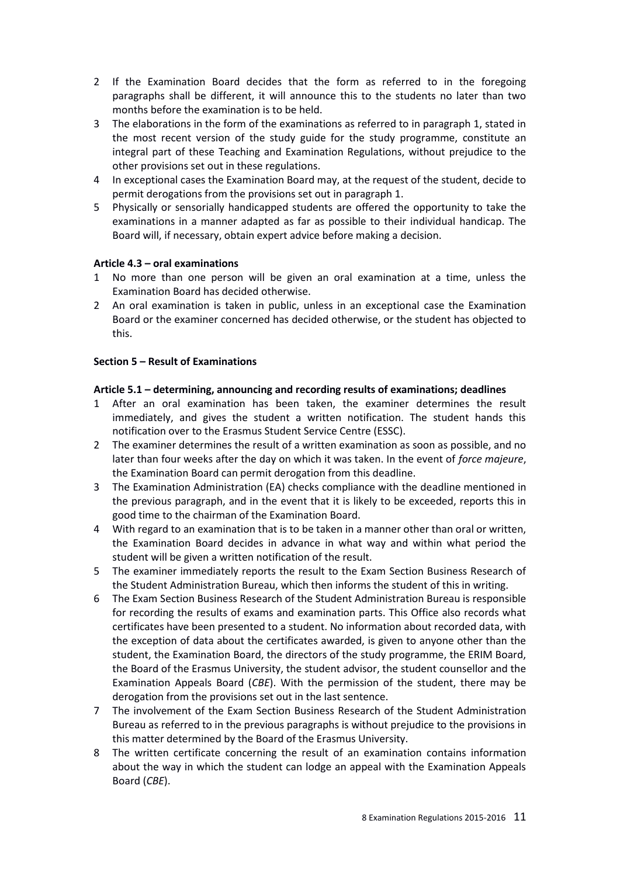- 2 If the Examination Board decides that the form as referred to in the foregoing paragraphs shall be different, it will announce this to the students no later than two months before the examination is to be held.
- 3 The elaborations in the form of the examinations as referred to in paragraph 1, stated in the most recent version of the study guide for the study programme, constitute an integral part of these Teaching and Examination Regulations, without prejudice to the other provisions set out in these regulations.
- 4 In exceptional cases the Examination Board may, at the request of the student, decide to permit derogations from the provisions set out in paragraph 1.
- 5 Physically or sensorially handicapped students are offered the opportunity to take the examinations in a manner adapted as far as possible to their individual handicap. The Board will, if necessary, obtain expert advice before making a decision.

# **Article 4.3 – oral examinations**

- 1 No more than one person will be given an oral examination at a time, unless the Examination Board has decided otherwise.
- 2 An oral examination is taken in public, unless in an exceptional case the Examination Board or the examiner concerned has decided otherwise, or the student has objected to this.

# **Section 5 – Result of Examinations**

# **Article 5.1 – determining, announcing and recording results of examinations; deadlines**

- 1 After an oral examination has been taken, the examiner determines the result immediately, and gives the student a written notification. The student hands this notification over to the Erasmus Student Service Centre (ESSC).
- 2 The examiner determines the result of a written examination as soon as possible, and no later than four weeks after the day on which it was taken. In the event of *force majeure*, the Examination Board can permit derogation from this deadline.
- 3 The Examination Administration (EA) checks compliance with the deadline mentioned in the previous paragraph, and in the event that it is likely to be exceeded, reports this in good time to the chairman of the Examination Board.
- 4 With regard to an examination that is to be taken in a manner other than oral or written, the Examination Board decides in advance in what way and within what period the student will be given a written notification of the result.
- 5 The examiner immediately reports the result to the Exam Section Business Research of the Student Administration Bureau, which then informs the student of this in writing.
- 6 The Exam Section Business Research of the Student Administration Bureau is responsible for recording the results of exams and examination parts. This Office also records what certificates have been presented to a student. No information about recorded data, with the exception of data about the certificates awarded, is given to anyone other than the student, the Examination Board, the directors of the study programme, the ERIM Board, the Board of the Erasmus University, the student advisor, the student counsellor and the Examination Appeals Board (*CBE*). With the permission of the student, there may be derogation from the provisions set out in the last sentence.
- 7 The involvement of the Exam Section Business Research of the Student Administration Bureau as referred to in the previous paragraphs is without prejudice to the provisions in this matter determined by the Board of the Erasmus University.
- 8 The written certificate concerning the result of an examination contains information about the way in which the student can lodge an appeal with the Examination Appeals Board (*CBE*).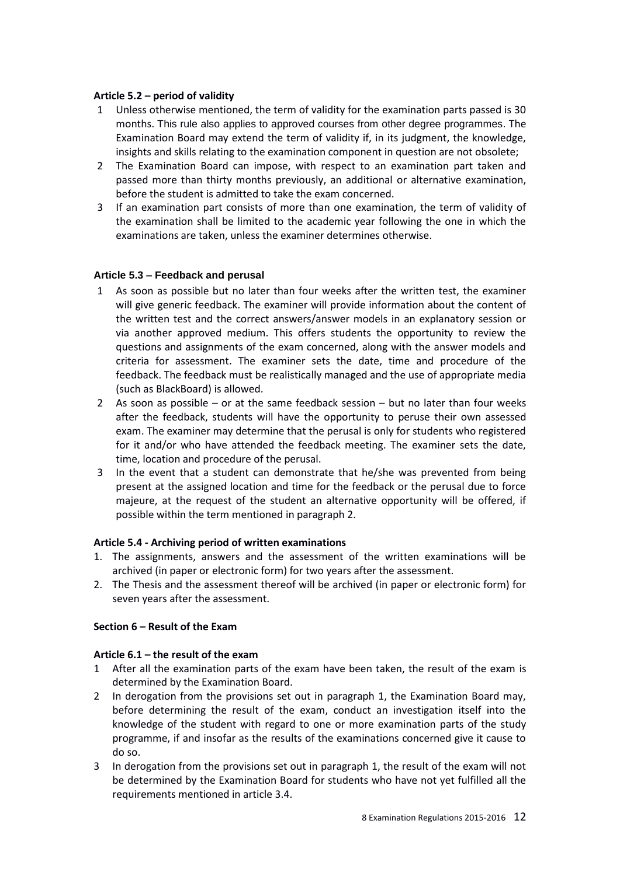#### **Article 5.2 – period of validity**

- 1 Unless otherwise mentioned, the term of validity for the examination parts passed is 30 months. This rule also applies to approved courses from other degree programmes. The Examination Board may extend the term of validity if, in its judgment, the knowledge, insights and skills relating to the examination component in question are not obsolete;
- 2 The Examination Board can impose, with respect to an examination part taken and passed more than thirty months previously, an additional or alternative examination, before the student is admitted to take the exam concerned.
- 3 If an examination part consists of more than one examination, the term of validity of the examination shall be limited to the academic year following the one in which the examinations are taken, unless the examiner determines otherwise.

#### **Article 5.3 – Feedback and perusal**

- 1 As soon as possible but no later than four weeks after the written test, the examiner will give generic feedback. The examiner will provide information about the content of the written test and the correct answers/answer models in an explanatory session or via another approved medium. This offers students the opportunity to review the questions and assignments of the exam concerned, along with the answer models and criteria for assessment. The examiner sets the date, time and procedure of the feedback. The feedback must be realistically managed and the use of appropriate media (such as BlackBoard) is allowed.
- 2 As soon as possible  $-$  or at the same feedback session  $-$  but no later than four weeks after the feedback, students will have the opportunity to peruse their own assessed exam. The examiner may determine that the perusal is only for students who registered for it and/or who have attended the feedback meeting. The examiner sets the date, time, location and procedure of the perusal.
- 3 In the event that a student can demonstrate that he/she was prevented from being present at the assigned location and time for the feedback or the perusal due to force majeure, at the request of the student an alternative opportunity will be offered, if possible within the term mentioned in paragraph 2.

#### **Article 5.4 - Archiving period of written examinations**

- 1. The assignments, answers and the assessment of the written examinations will be archived (in paper or electronic form) for two years after the assessment.
- 2. The Thesis and the assessment thereof will be archived (in paper or electronic form) for seven years after the assessment.

#### **Section 6 – Result of the Exam**

#### **Article 6.1 – the result of the exam**

- 1 After all the examination parts of the exam have been taken, the result of the exam is determined by the Examination Board.
- 2 In derogation from the provisions set out in paragraph 1, the Examination Board may, before determining the result of the exam, conduct an investigation itself into the knowledge of the student with regard to one or more examination parts of the study programme, if and insofar as the results of the examinations concerned give it cause to do so.
- 3 In derogation from the provisions set out in paragraph 1, the result of the exam will not be determined by the Examination Board for students who have not yet fulfilled all the requirements mentioned in article 3.4.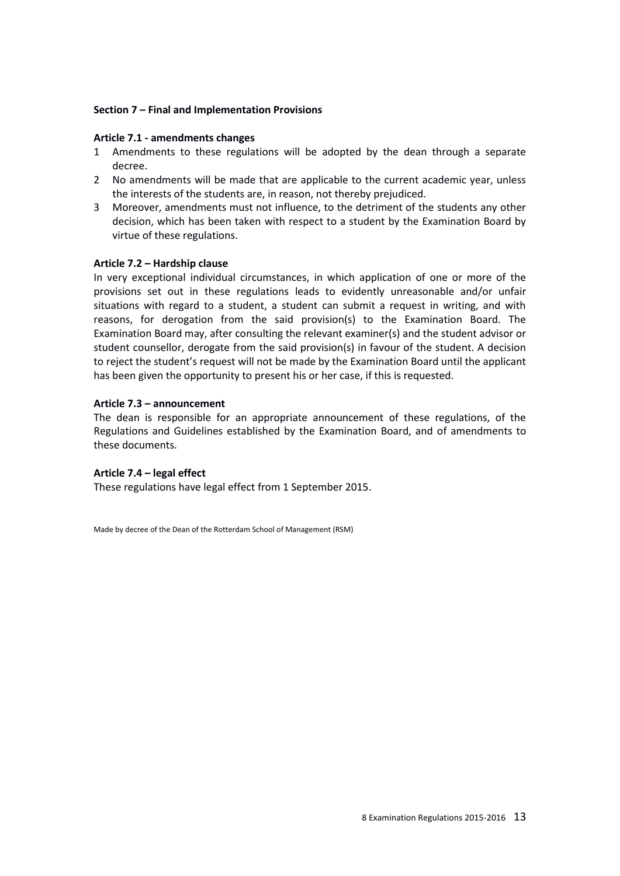#### **Section 7 – Final and Implementation Provisions**

#### **Article 7.1 - amendments changes**

- 1 Amendments to these regulations will be adopted by the dean through a separate decree.
- 2 No amendments will be made that are applicable to the current academic year, unless the interests of the students are, in reason, not thereby prejudiced.
- 3 Moreover, amendments must not influence, to the detriment of the students any other decision, which has been taken with respect to a student by the Examination Board by virtue of these regulations.

#### **Article 7.2 – Hardship clause**

In very exceptional individual circumstances, in which application of one or more of the provisions set out in these regulations leads to evidently unreasonable and/or unfair situations with regard to a student, a student can submit a request in writing, and with reasons, for derogation from the said provision(s) to the Examination Board. The Examination Board may, after consulting the relevant examiner(s) and the student advisor or student counsellor, derogate from the said provision(s) in favour of the student. A decision to reject the student's request will not be made by the Examination Board until the applicant has been given the opportunity to present his or her case, if this is requested.

#### **Article 7.3 – announcement**

The dean is responsible for an appropriate announcement of these regulations, of the Regulations and Guidelines established by the Examination Board, and of amendments to these documents.

#### **Article 7.4 – legal effect**

These regulations have legal effect from 1 September 2015.

Made by decree of the Dean of the Rotterdam School of Management (RSM)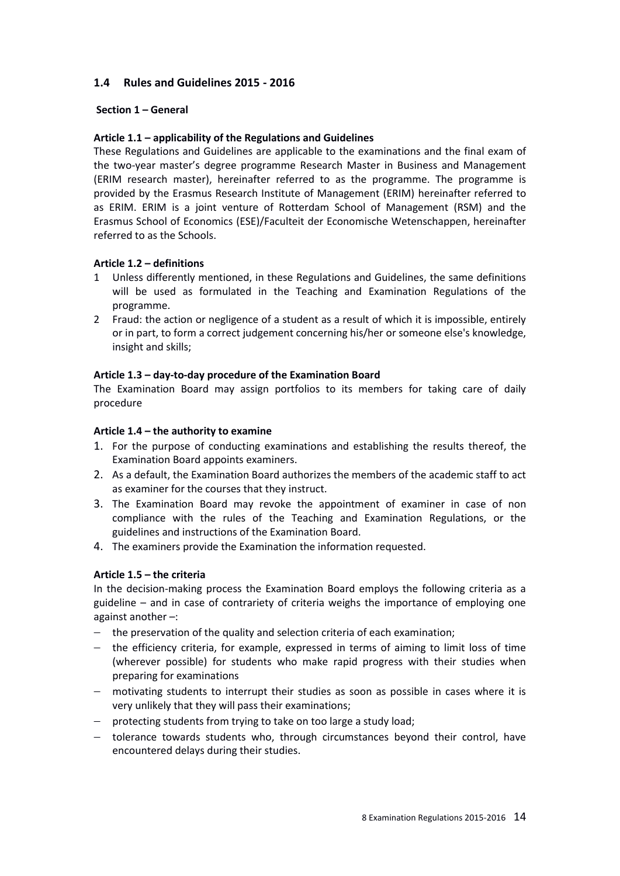# **1.4 Rules and Guidelines 2015 - 2016**

# **Section 1 – General**

# **Article 1.1 – applicability of the Regulations and Guidelines**

These Regulations and Guidelines are applicable to the examinations and the final exam of the two-year master's degree programme Research Master in Business and Management (ERIM research master), hereinafter referred to as the programme. The programme is provided by the Erasmus Research Institute of Management (ERIM) hereinafter referred to as ERIM. ERIM is a joint venture of Rotterdam School of Management (RSM) and the Erasmus School of Economics (ESE)/Faculteit der Economische Wetenschappen, hereinafter referred to as the Schools.

# **Article 1.2 – definitions**

- 1 Unless differently mentioned, in these Regulations and Guidelines, the same definitions will be used as formulated in the Teaching and Examination Regulations of the programme.
- 2 Fraud: the action or negligence of a student as a result of which it is impossible, entirely or in part, to form a correct judgement concerning his/her or someone else's knowledge, insight and skills;

# **Article 1.3 – day-to-day procedure of the Examination Board**

The Examination Board may assign portfolios to its members for taking care of daily procedure

# **Article 1.4 – the authority to examine**

- 1. For the purpose of conducting examinations and establishing the results thereof, the Examination Board appoints examiners.
- 2. As a default, the Examination Board authorizes the members of the academic staff to act as examiner for the courses that they instruct.
- 3. The Examination Board may revoke the appointment of examiner in case of non compliance with the rules of the Teaching and Examination Regulations, or the guidelines and instructions of the Examination Board.
- 4. The examiners provide the Examination the information requested.

# **Article 1.5 – the criteria**

In the decision-making process the Examination Board employs the following criteria as a guideline – and in case of contrariety of criteria weighs the importance of employing one against another –:

- $-$  the preservation of the quality and selection criteria of each examination;
- $-$  the efficiency criteria, for example, expressed in terms of aiming to limit loss of time (wherever possible) for students who make rapid progress with their studies when preparing for examinations
- motivating students to interrupt their studies as soon as possible in cases where it is very unlikely that they will pass their examinations;
- $-$  protecting students from trying to take on too large a study load;
- tolerance towards students who, through circumstances beyond their control, have encountered delays during their studies.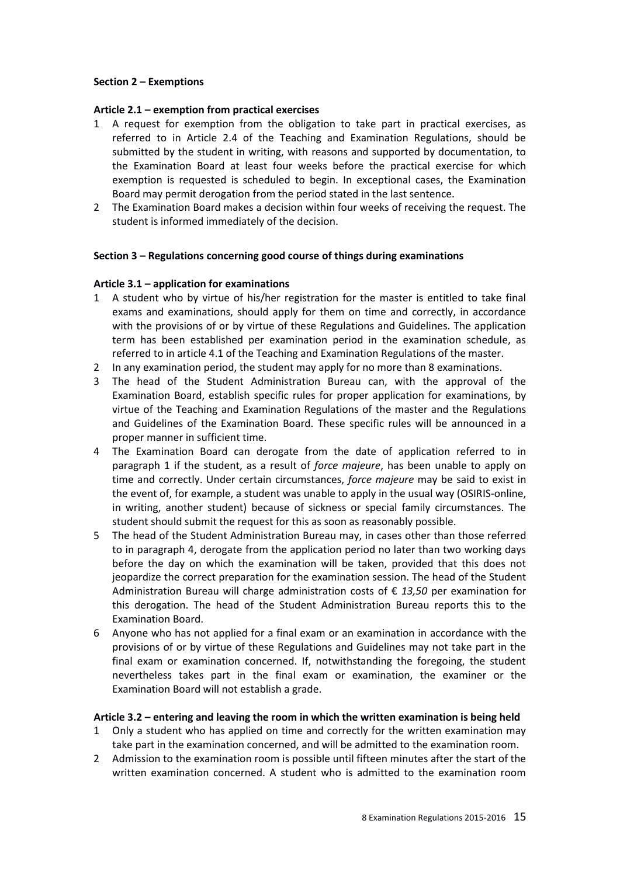### **Section 2 – Exemptions**

# **Article 2.1 – exemption from practical exercises**

- 1 A request for exemption from the obligation to take part in practical exercises, as referred to in Article 2.4 of the Teaching and Examination Regulations, should be submitted by the student in writing, with reasons and supported by documentation, to the Examination Board at least four weeks before the practical exercise for which exemption is requested is scheduled to begin. In exceptional cases, the Examination Board may permit derogation from the period stated in the last sentence.
- 2 The Examination Board makes a decision within four weeks of receiving the request. The student is informed immediately of the decision.

#### **Section 3 – Regulations concerning good course of things during examinations**

# **Article 3.1 – application for examinations**

- 1 A student who by virtue of his/her registration for the master is entitled to take final exams and examinations, should apply for them on time and correctly, in accordance with the provisions of or by virtue of these Regulations and Guidelines. The application term has been established per examination period in the examination schedule, as referred to in article 4.1 of the Teaching and Examination Regulations of the master.
- 2 In any examination period, the student may apply for no more than 8 examinations.
- 3 The head of the Student Administration Bureau can, with the approval of the Examination Board, establish specific rules for proper application for examinations, by virtue of the Teaching and Examination Regulations of the master and the Regulations and Guidelines of the Examination Board. These specific rules will be announced in a proper manner in sufficient time.
- 4 The Examination Board can derogate from the date of application referred to in paragraph 1 if the student, as a result of *force majeure*, has been unable to apply on time and correctly. Under certain circumstances, *force majeure* may be said to exist in the event of, for example, a student was unable to apply in the usual way (OSIRIS-online, in writing, another student) because of sickness or special family circumstances. The student should submit the request for this as soon as reasonably possible.
- 5 The head of the Student Administration Bureau may, in cases other than those referred to in paragraph 4, derogate from the application period no later than two working days before the day on which the examination will be taken, provided that this does not jeopardize the correct preparation for the examination session. The head of the Student Administration Bureau will charge administration costs of € *13,50* per examination for this derogation. The head of the Student Administration Bureau reports this to the Examination Board.
- 6 Anyone who has not applied for a final exam or an examination in accordance with the provisions of or by virtue of these Regulations and Guidelines may not take part in the final exam or examination concerned. If, notwithstanding the foregoing, the student nevertheless takes part in the final exam or examination, the examiner or the Examination Board will not establish a grade.

#### **Article 3.2 – entering and leaving the room in which the written examination is being held**

- 1 Only a student who has applied on time and correctly for the written examination may take part in the examination concerned, and will be admitted to the examination room.
- 2 Admission to the examination room is possible until fifteen minutes after the start of the written examination concerned. A student who is admitted to the examination room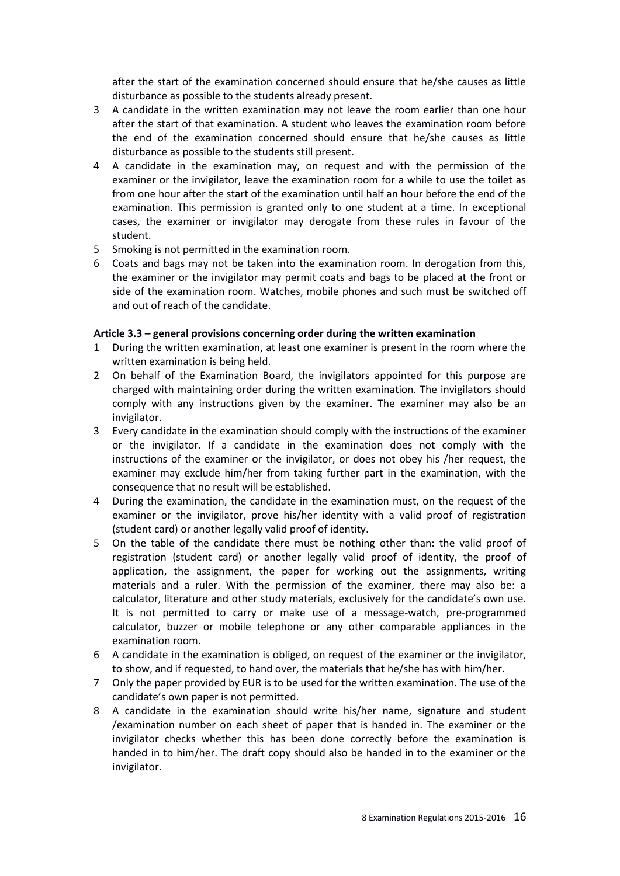after the start of the examination concerned should ensure that he/she causes as little disturbance as possible to the students already present.

- 3 A candidate in the written examination may not leave the room earlier than one hour after the start of that examination. A student who leaves the examination room before the end of the examination concerned should ensure that he/she causes as little disturbance as possible to the students still present.
- 4 A candidate in the examination may, on request and with the permission of the examiner or the invigilator, leave the examination room for a while to use the toilet as from one hour after the start of the examination until half an hour before the end of the examination. This permission is granted only to one student at a time. In exceptional cases, the examiner or invigilator may derogate from these rules in favour of the student.
- 5 Smoking is not permitted in the examination room.
- 6 Coats and bags may not be taken into the examination room. In derogation from this, the examiner or the invigilator may permit coats and bags to be placed at the front or side of the examination room. Watches, mobile phones and such must be switched off and out of reach of the candidate.

# **Article 3.3 – general provisions concerning order during the written examination**

- 1 During the written examination, at least one examiner is present in the room where the written examination is being held.
- 2 On behalf of the Examination Board, the invigilators appointed for this purpose are charged with maintaining order during the written examination. The invigilators should comply with any instructions given by the examiner. The examiner may also be an invigilator.
- 3 Every candidate in the examination should comply with the instructions of the examiner or the invigilator. If a candidate in the examination does not comply with the instructions of the examiner or the invigilator, or does not obey his /her request, the examiner may exclude him/her from taking further part in the examination, with the consequence that no result will be established.
- 4 During the examination, the candidate in the examination must, on the request of the examiner or the invigilator, prove his/her identity with a valid proof of registration (student card) or another legally valid proof of identity.
- 5 On the table of the candidate there must be nothing other than: the valid proof of registration (student card) or another legally valid proof of identity, the proof of application, the assignment, the paper for working out the assignments, writing materials and a ruler. With the permission of the examiner, there may also be: a calculator, literature and other study materials, exclusively for the candidate's own use. It is not permitted to carry or make use of a message-watch, pre-programmed calculator, buzzer or mobile telephone or any other comparable appliances in the examination room.
- 6 A candidate in the examination is obliged, on request of the examiner or the invigilator, to show, and if requested, to hand over, the materials that he/she has with him/her.
- 7 Only the paper provided by EUR is to be used for the written examination. The use of the candidate's own paper is not permitted.
- 8 A candidate in the examination should write his/her name, signature and student /examination number on each sheet of paper that is handed in. The examiner or the invigilator checks whether this has been done correctly before the examination is handed in to him/her. The draft copy should also be handed in to the examiner or the invigilator.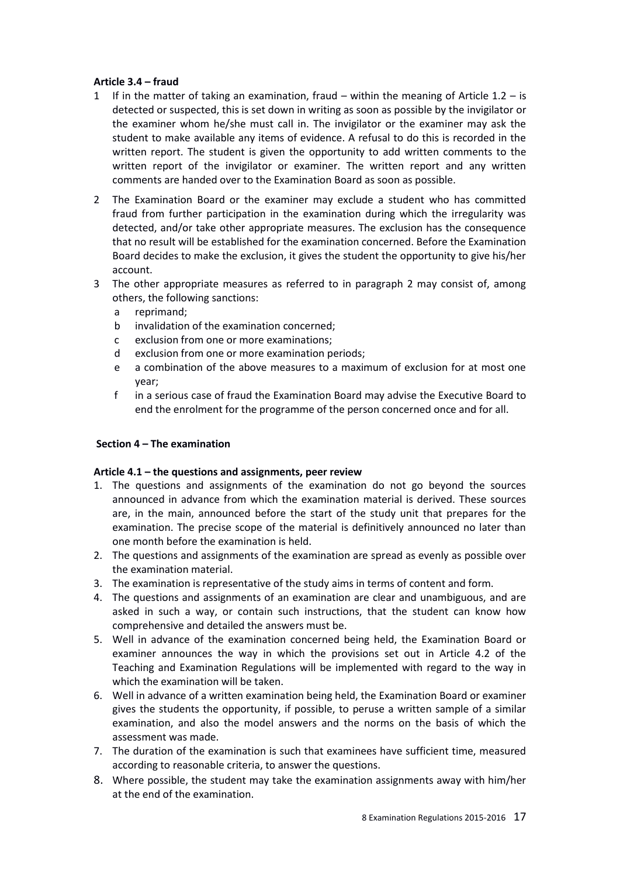# **Article 3.4 – fraud**

- 1 If in the matter of taking an examination, fraud within the meaning of Article  $1.2 is$ detected or suspected, this is set down in writing as soon as possible by the invigilator or the examiner whom he/she must call in. The invigilator or the examiner may ask the student to make available any items of evidence. A refusal to do this is recorded in the written report. The student is given the opportunity to add written comments to the written report of the invigilator or examiner. The written report and any written comments are handed over to the Examination Board as soon as possible.
- 2 The Examination Board or the examiner may exclude a student who has committed fraud from further participation in the examination during which the irregularity was detected, and/or take other appropriate measures. The exclusion has the consequence that no result will be established for the examination concerned. Before the Examination Board decides to make the exclusion, it gives the student the opportunity to give his/her account.
- 3 The other appropriate measures as referred to in paragraph 2 may consist of, among others, the following sanctions:
	- a reprimand;
	- b invalidation of the examination concerned;
	- c exclusion from one or more examinations;
	- d exclusion from one or more examination periods;
	- e a combination of the above measures to a maximum of exclusion for at most one year;
	- f in a serious case of fraud the Examination Board may advise the Executive Board to end the enrolment for the programme of the person concerned once and for all.

#### **Section 4 – The examination**

#### **Article 4.1 – the questions and assignments, peer review**

- 1. The questions and assignments of the examination do not go beyond the sources announced in advance from which the examination material is derived. These sources are, in the main, announced before the start of the study unit that prepares for the examination. The precise scope of the material is definitively announced no later than one month before the examination is held.
- 2. The questions and assignments of the examination are spread as evenly as possible over the examination material.
- 3. The examination is representative of the study aims in terms of content and form.
- 4. The questions and assignments of an examination are clear and unambiguous, and are asked in such a way, or contain such instructions, that the student can know how comprehensive and detailed the answers must be.
- 5. Well in advance of the examination concerned being held, the Examination Board or examiner announces the way in which the provisions set out in Article 4.2 of the Teaching and Examination Regulations will be implemented with regard to the way in which the examination will be taken.
- 6. Well in advance of a written examination being held, the Examination Board or examiner gives the students the opportunity, if possible, to peruse a written sample of a similar examination, and also the model answers and the norms on the basis of which the assessment was made.
- 7. The duration of the examination is such that examinees have sufficient time, measured according to reasonable criteria, to answer the questions.
- 8. Where possible, the student may take the examination assignments away with him/her at the end of the examination.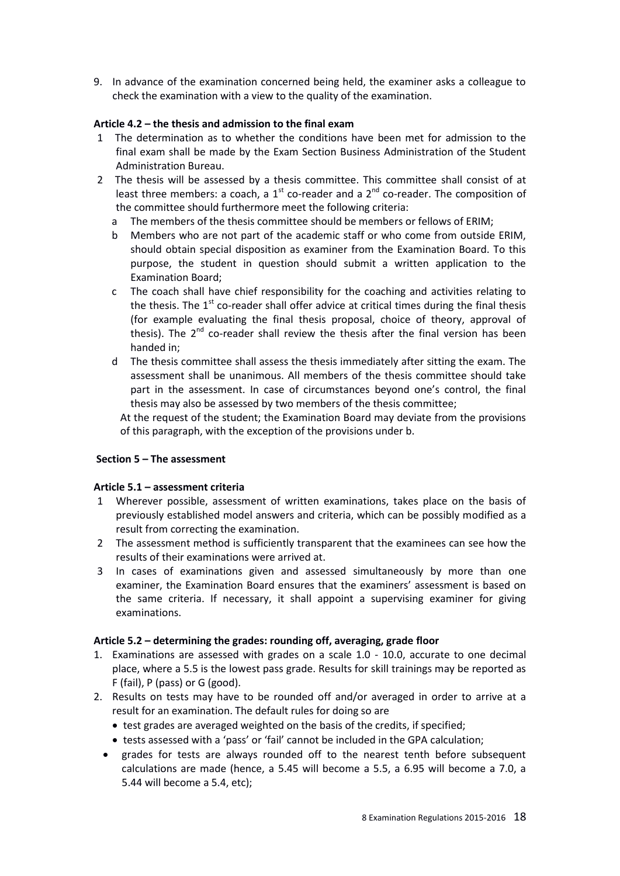9. In advance of the examination concerned being held, the examiner asks a colleague to check the examination with a view to the quality of the examination.

# **Article 4.2 – the thesis and admission to the final exam**

- 1 The determination as to whether the conditions have been met for admission to the final exam shall be made by the Exam Section Business Administration of the Student Administration Bureau.
- 2 The thesis will be assessed by a thesis committee. This committee shall consist of at least three members: a coach, a  $1<sup>st</sup>$  co-reader and a  $2<sup>nd</sup>$  co-reader. The composition of the committee should furthermore meet the following criteria:
	- a The members of the thesis committee should be members or fellows of ERIM;
	- b Members who are not part of the academic staff or who come from outside ERIM, should obtain special disposition as examiner from the Examination Board. To this purpose, the student in question should submit a written application to the Examination Board;
	- c The coach shall have chief responsibility for the coaching and activities relating to the thesis. The  $1<sup>st</sup>$  co-reader shall offer advice at critical times during the final thesis (for example evaluating the final thesis proposal, choice of theory, approval of thesis). The 2<sup>nd</sup> co-reader shall review the thesis after the final version has been handed in;
	- d The thesis committee shall assess the thesis immediately after sitting the exam. The assessment shall be unanimous. All members of the thesis committee should take part in the assessment. In case of circumstances beyond one's control, the final thesis may also be assessed by two members of the thesis committee;

At the request of the student; the Examination Board may deviate from the provisions of this paragraph, with the exception of the provisions under b.

#### **Section 5 – The assessment**

#### **Article 5.1 – assessment criteria**

- 1 Wherever possible, assessment of written examinations, takes place on the basis of previously established model answers and criteria, which can be possibly modified as a result from correcting the examination.
- 2 The assessment method is sufficiently transparent that the examinees can see how the results of their examinations were arrived at.
- 3 In cases of examinations given and assessed simultaneously by more than one examiner, the Examination Board ensures that the examiners' assessment is based on the same criteria. If necessary, it shall appoint a supervising examiner for giving examinations.

#### **Article 5.2 – determining the grades: rounding off, averaging, grade floor**

- 1. Examinations are assessed with grades on a scale 1.0 10.0, accurate to one decimal place, where a 5.5 is the lowest pass grade. Results for skill trainings may be reported as F (fail), P (pass) or G (good).
- 2. Results on tests may have to be rounded off and/or averaged in order to arrive at a result for an examination. The default rules for doing so are
	- test grades are averaged weighted on the basis of the credits, if specified;
	- tests assessed with a 'pass' or 'fail' cannot be included in the GPA calculation;
	- grades for tests are always rounded off to the nearest tenth before subsequent calculations are made (hence, a 5.45 will become a 5.5, a 6.95 will become a 7.0, a 5.44 will become a 5.4, etc);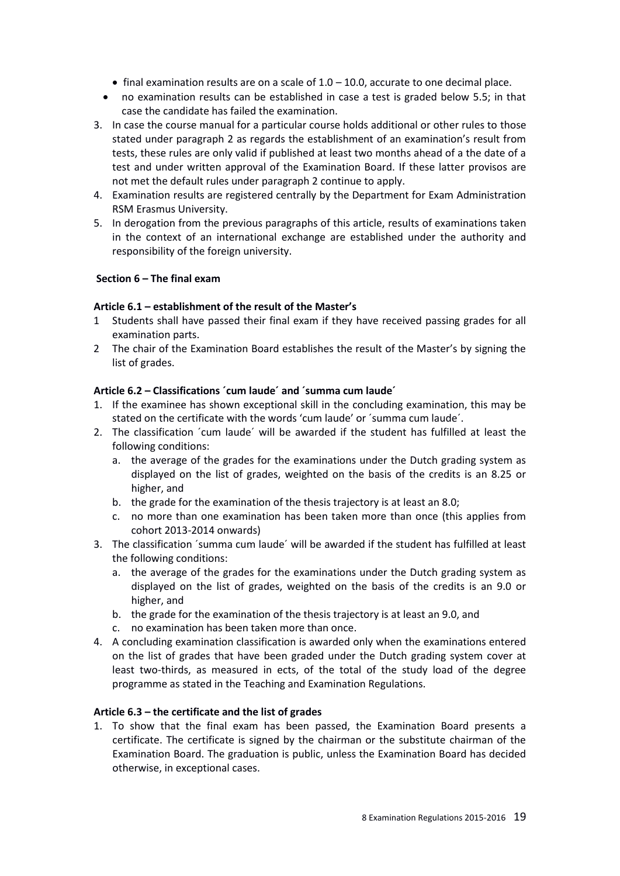- $\bullet$  final examination results are on a scale of 1.0 10.0, accurate to one decimal place.
- no examination results can be established in case a test is graded below 5.5; in that case the candidate has failed the examination.
- 3. In case the course manual for a particular course holds additional or other rules to those stated under paragraph 2 as regards the establishment of an examination's result from tests, these rules are only valid if published at least two months ahead of a the date of a test and under written approval of the Examination Board. If these latter provisos are not met the default rules under paragraph 2 continue to apply.
- 4. Examination results are registered centrally by the Department for Exam Administration RSM Erasmus University.
- 5. In derogation from the previous paragraphs of this article, results of examinations taken in the context of an international exchange are established under the authority and responsibility of the foreign university.

#### **Section 6 – The final exam**

# **Article 6.1 – establishment of the result of the Master's**

- 1 Students shall have passed their final exam if they have received passing grades for all examination parts.
- 2 The chair of the Examination Board establishes the result of the Master's by signing the list of grades.

# **Article 6.2 – Classifications ´cum laude´ and ´summa cum laude´**

- 1. If the examinee has shown exceptional skill in the concluding examination, this may be stated on the certificate with the words 'cum laude' or ´summa cum laude´.
- 2. The classification ´cum laude´ will be awarded if the student has fulfilled at least the following conditions:
	- a. the average of the grades for the examinations under the Dutch grading system as displayed on the list of grades, weighted on the basis of the credits is an 8.25 or higher, and
	- b. the grade for the examination of the thesis trajectory is at least an 8.0;
	- c. no more than one examination has been taken more than once (this applies from cohort 2013-2014 onwards)
- 3. The classification ´summa cum laude´ will be awarded if the student has fulfilled at least the following conditions:
	- a. the average of the grades for the examinations under the Dutch grading system as displayed on the list of grades, weighted on the basis of the credits is an 9.0 or higher, and
	- b. the grade for the examination of the thesis trajectory is at least an 9.0, and
	- c. no examination has been taken more than once.
- 4. A concluding examination classification is awarded only when the examinations entered on the list of grades that have been graded under the Dutch grading system cover at least two-thirds, as measured in ects, of the total of the study load of the degree programme as stated in the Teaching and Examination Regulations.

#### **Article 6.3 – the certificate and the list of grades**

1. To show that the final exam has been passed, the Examination Board presents a certificate. The certificate is signed by the chairman or the substitute chairman of the Examination Board. The graduation is public, unless the Examination Board has decided otherwise, in exceptional cases.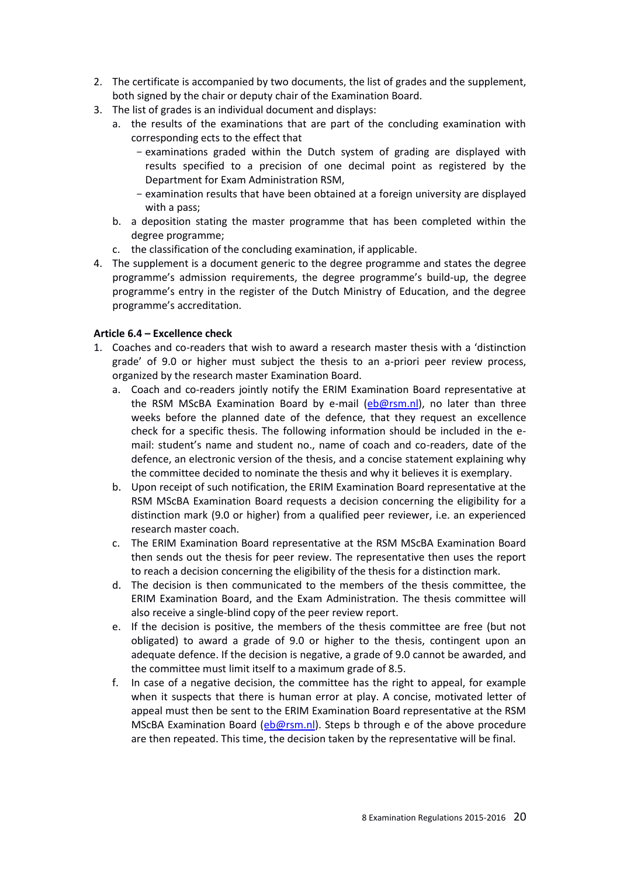- 2. The certificate is accompanied by two documents, the list of grades and the supplement, both signed by the chair or deputy chair of the Examination Board.
- 3. The list of grades is an individual document and displays:
	- a. the results of the examinations that are part of the concluding examination with corresponding ects to the effect that
		- examinations graded within the Dutch system of grading are displayed with results specified to a precision of one decimal point as registered by the Department for Exam Administration RSM,
		- examination results that have been obtained at a foreign university are displayed with a pass;
	- b. a deposition stating the master programme that has been completed within the degree programme;
	- c. the classification of the concluding examination, if applicable.
- 4. The supplement is a document generic to the degree programme and states the degree programme's admission requirements, the degree programme's build-up, the degree programme's entry in the register of the Dutch Ministry of Education, and the degree programme's accreditation.

#### **Article 6.4 – Excellence check**

- 1. Coaches and co-readers that wish to award a research master thesis with a 'distinction grade' of 9.0 or higher must subject the thesis to an a-priori peer review process, organized by the research master Examination Board.
	- a. Coach and co-readers jointly notify the ERIM Examination Board representative at the RSM MScBA Examination Board by e-mail [\(eb@rsm.nl\)](mailto:eb@rsm.nl), no later than three weeks before the planned date of the defence, that they request an excellence check for a specific thesis. The following information should be included in the email: student's name and student no., name of coach and co-readers, date of the defence, an electronic version of the thesis, and a concise statement explaining why the committee decided to nominate the thesis and why it believes it is exemplary.
	- b. Upon receipt of such notification, the ERIM Examination Board representative at the RSM MScBA Examination Board requests a decision concerning the eligibility for a distinction mark (9.0 or higher) from a qualified peer reviewer, i.e. an experienced research master coach.
	- c. The ERIM Examination Board representative at the RSM MScBA Examination Board then sends out the thesis for peer review. The representative then uses the report to reach a decision concerning the eligibility of the thesis for a distinction mark.
	- d. The decision is then communicated to the members of the thesis committee, the ERIM Examination Board, and the Exam Administration. The thesis committee will also receive a single-blind copy of the peer review report.
	- e. If the decision is positive, the members of the thesis committee are free (but not obligated) to award a grade of 9.0 or higher to the thesis, contingent upon an adequate defence. If the decision is negative, a grade of 9.0 cannot be awarded, and the committee must limit itself to a maximum grade of 8.5.
	- f. In case of a negative decision, the committee has the right to appeal, for example when it suspects that there is human error at play. A concise, motivated letter of appeal must then be sent to the ERIM Examination Board representative at the RSM MScBA Examination Board [\(eb@rsm.nl\)](mailto:eb@rsm.nl). Steps b through e of the above procedure are then repeated. This time, the decision taken by the representative will be final.